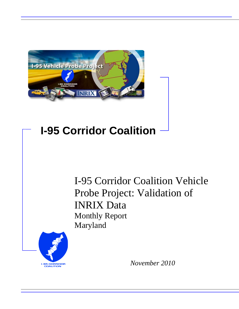

## **I-95 Corridor Coalition**

I-95 Corridor Coalition Vehicle Probe Project: Validation of INRIX Data Monthly Report Maryland



*November 2010*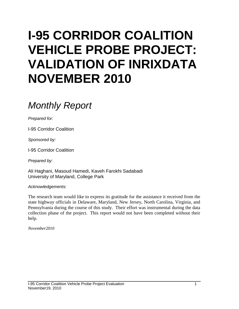# **I-95 CORRIDOR COALITION VEHICLE PROBE PROJECT: VALIDATION OF INRIXDATA NOVEMBER 2010**

## *Monthly Report*

*Prepared for:*

I-95 Corridor Coalition

*Sponsored by:*

I-95 Corridor Coalition

*Prepared by:*

Ali Haghani, Masoud Hamedi, Kaveh Farokhi Sadabadi University of Maryland, College Park

*Acknowledgements:*

The research team would like to express its gratitude for the assistance it received from the state highway officials in Delaware, Maryland, New Jersey, North Carolina, Virginia, and Pennsylvania during the course of this study. Their effort was instrumental during the data collection phase of the project. This report would not have been completed without their help.

*November2010*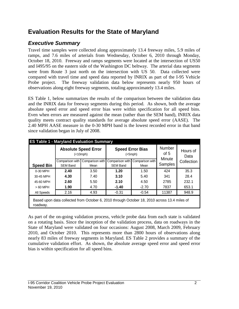## **Evaluation Results for the State of Maryland**

## *Executive Summary*

Travel time samples were collected along approximately 13.4 freeway miles, 5.9 miles of ramps, and 7.6 miles of arterials from Wednesday, October 6, 2010 through Monday, October 18, 2010. Freeway and ramps segments were located at the intersection of US50 and I495/95 on the eastern side of the Washington DC beltway. The arterial data segments were from Route 3 just north on the intersection with US 50. Data collected were compared with travel time and speed data reported by INRIX as part of the I-95 Vehicle Probe project. The freeway validation data below represents nearly 950 hours of observations along eight freeway segments, totaling approximately 13.4 miles.

ES Table 1, below summarizes the results of the comparison between the validation data and the INRIX data for freeway segments during this period. As shown, both the average absolute speed error and speed error bias were within specification for all speed bins. Even when errors are measured against the mean (rather than the SEM band), INRIX data quality meets contract quality standards for average absolute speed error (AASE). The 2.40 MPH AASE measure in the 0-30 MPH band is the lowest recorded error in that band since validation began in July of 2008.

| <b>ES Table 1 - Maryland Evaluation Summary</b> |                                                                                              |                                          |                 |                                          |                   |                  |
|-------------------------------------------------|----------------------------------------------------------------------------------------------|------------------------------------------|-----------------|------------------------------------------|-------------------|------------------|
|                                                 |                                                                                              | <b>Absolute Speed Error</b><br>(<10 mph) |                 | <b>Speed Error Bias</b><br>$(<5$ mph $)$ | Number<br>of $5$  | Hours of<br>Data |
|                                                 | Comparison with                                                                              | Comparison with                          |                 | Comparison with Comparison with          | Minute<br>Samples | Collection       |
| <b>Speed Bin</b>                                | <b>SEM Band</b>                                                                              | Mean                                     | <b>SEM Band</b> | Mean                                     |                   |                  |
| 0-30 MPH                                        | 2.40<br>3.50                                                                                 |                                          | 1.20            | 1.50                                     | 424               | 35.3             |
| 30-45 MPH                                       | 4.30                                                                                         | 7.40                                     | 3.10            | 5.40                                     | 341               | 28.4             |
| 45-60 MPH                                       | 2.60                                                                                         | 5.50                                     | 2.10            | 4.50                                     | 2785              | 232.1            |
| $>60$ MPH                                       | 1.90                                                                                         | 4.70                                     | $-1.40$         | $-2.70$                                  | 7837              | 653.1            |
| All Speeds                                      | 2.16                                                                                         | 4.93                                     | $-0.31$         | $-0.54$                                  | 11387             | 948.9            |
| roadway.                                        | Based upon data collected from October 6, 2010 through October 18, 2010 across 13.4 miles of |                                          |                 |                                          |                   |                  |

As part of the on-going validation process, vehicle probe data from each state is validated on a rotating basis. Since the inception of the validation process, data on roadways in the State of Maryland were validated on four occasions: August 2008, March 2009, February 2010, and October 2010. This represents more than 2800 hours of observations along nearly 83 miles of freeway segments in Maryland. ES Table 2 provides a summary of the cumulative validation effort. As shown, the absolute average speed error and speed error bias is within specification for all speed bins.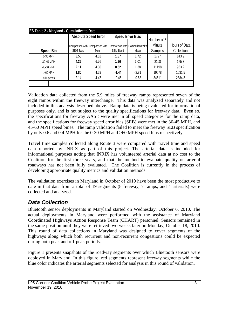|                  | <b>Absolute Speed Error</b> |                                                                 |                 | <b>Speed Error Bias</b> |                       |               |  |
|------------------|-----------------------------|-----------------------------------------------------------------|-----------------|-------------------------|-----------------------|---------------|--|
|                  |                             | Comparison with Comparison with Comparison with Comparison with |                 |                         | Number of 5<br>Minute | Hours of Data |  |
| <b>Speed Bin</b> | <b>SEM Band</b>             | Mean                                                            | <b>SEM Band</b> | Mean                    | <b>Samples</b>        | Collection    |  |
| 0-30 MPH         | 3.50                        | 4.82                                                            | 1.37            | 1.72                    | 1727                  | 143.9         |  |
| 30-45 MPH        | 4.35                        | 6.76                                                            | 1.96            | 3.01                    | 2108                  | 175.7         |  |
| 45-60 MPH        | 2.11                        | 4.30                                                            | 0.52            | 1.38                    | 11198                 | 933.2         |  |
| $>60$ MPH        | 1.80                        | 4.29                                                            | $-1.44$         | $-2.81$                 | 19578                 | 1631.5        |  |
| All Speeds       | 2.14                        | 4.47                                                            | $-0.46$         | $-0.88$                 | 34611                 | 2884.3        |  |

Validation data collected from the 5.9 miles of freeway ramps represented seven of the eight ramps within the freeway interchange. This data was analyzed separately and not included in this analysis described above. Ramp data is being evaluated for informational purposes only, and is not subject to the quality specifications for freeway data. Even so, the specifications for freeway AASE were met in all speed categories for the ramp data, and the specifications for freeway speed error bias (SEB) were met in the 30-45 MPH, and 45-60 MPH speed bines. The ramp validation failed to meet the freeway SEB specification by only 0.6 and 0.4 MPH for the 0-30 MPH and >60 MPH speed bins respectively.

Travel time samples collected along Route 3 were compared with travel time and speed data reported by INRIX as part of this project. The arterial data is included for informational purposes noting that INRIX has volunteered arterial data at no cost to the Coalition for the first three years, and that the method to evaluate quality on arterial roadways has not been fully evaluated. The Coalition is currently in the process of developing appropriate quality metrics and validation methods.

The validation exercises in Maryland in October of 2010 have been the most productive to date in that data from a total of 19 segments (8 freeway, 7 ramps, and 4 arterials) were collected and analyzed.

## *Data Collection*

Bluetooth sensor deployments in Maryland started on Wednesday, October 6, 2010. The actual deployments in Maryland were performed with the assistance of Maryland Coordinated Highways Action Response Team (CHART) personnel. Sensors remained in the same position until they were retrieved two weeks later on Monday, October 18, 2010. This round of data collections in Maryland was designed to cover segments of the highways along which both recurrent and non-recurrent congestions could be expected during both peak and off-peak periods.

Figure 1 presents snapshots of the roadway segments over which Bluetooth sensors were deployed in Maryland. In this figure, red segments represent freeway segments while the blue color indicates the arterial segments selected for analysis in this round of validation.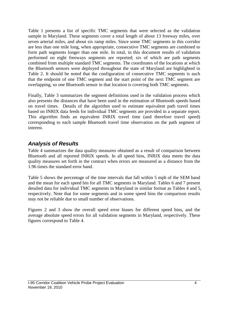Table 1 presents a list of specific TMC segments that were selected as the validation sample in Maryland. These segments cover a total length of about 13 freeway miles, over seven arterial miles, and about six ramp miles. Since some TMC segments in this corridor are less than one mile long, when appropriate, consecutive TMC segments are combined to form path segments longer than one mile. In total, in this document results of validation performed on eight freeways segments are reported; six of which are path segments combined from multiple standard TMC segments. The coordinates of the locations at which the Bluetooth sensors were deployed throughout the state of Maryland are highlighted in Table 2. It should be noted that the configuration of consecutive TMC segments is such that the endpoint of one TMC segment and the start point of the next TMC segment are overlapping, so one Bluetooth sensor in that location is covering both TMC segments.

Finally, Table 3 summarizes the segment definitions used in the validation process which also presents the distances that have been used in the estimation of Bluetooth speeds based on travel times. Details of the algorithm used to estimate equivalent path travel times based on INRIX data feeds for individual TMC segments are provided in a separate report. This algorithm finds an equivalent INRIX travel time (and therefore travel speed) corresponding to each sample Bluetooth travel time observation on the path segment of interest.

## *Analysis of Results*

Table 4 summarizes the data quality measures obtained as a result of comparison between Bluetooth and all reported INRIX speeds. In all speed bins, INRIX data meets the data quality measures set forth in the contract when errors are measured as a distance from the 1.96 times the standard error band.

Table 5 shows the percentage of the time intervals that fall within 5 mph of the SEM band and the mean for each speed bin for all TMC segments in Maryland. Tables 6 and 7 present detailed data for individual TMC segments in Maryland in similar format as Tables 4 and 5, respectively. Note that for some segments and in some speed bins the comparison results may not be reliable due to small number of observations.

Figures 2 and 3 show the overall speed error biases for different speed bins, and the average absolute speed errors for all validation segments in Maryland, respectively. These figures correspond to Table 4.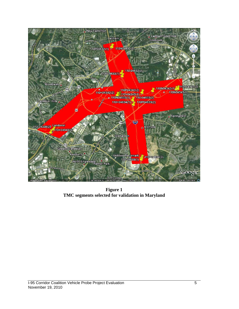

**Figure 1 TMC segments selected for validation in Maryland**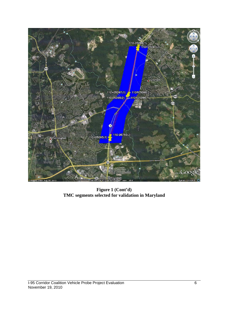

**Figure 1 (Cont'd) TMC segments selected for validation in Maryland**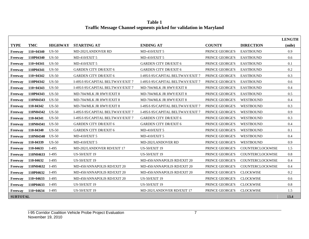**Table 1 Traffic Message Channel segments picked for validation in Maryland**

|                 |             |                |                                   |                                   |                        |                  | <b>LENGTH</b> |
|-----------------|-------------|----------------|-----------------------------------|-----------------------------------|------------------------|------------------|---------------|
| <b>TYPE</b>     | <b>TMC</b>  | <b>HIGHWAY</b> | <b>STARTING AT</b>                | <b>ENDING AT</b>                  | <b>COUNTY</b>          | <b>DIRECTION</b> | (mile)        |
| Freeway         | $110+04340$ | $US-50$        | <b>MD-202/LANDOVER RD</b>         | <b>MD-410/EXIT 5</b>              | PRINCE GEORGE'S        | <b>EASTBOUND</b> | 0.9           |
| Freeway         | 110P04340   | $US-50$        | <b>MD-410/EXIT 5</b>              | <b>MD-410/EXIT 5</b>              | PRINCE GEORGE'S        | <b>EASTBOUND</b> | 0.6           |
| Freeway         | $110+04341$ | $US-50$        | <b>MD-410/EXIT 5</b>              | <b>GARDEN CITY DR/EXIT 6</b>      | PRINCE GEORGE'S        | <b>EASTBOUND</b> | 0.1           |
| Freeway         | 110P04341   | <b>US-50</b>   | <b>GARDEN CITY DR/EXIT 6</b>      | <b>GARDEN CITY DR/EXIT 6</b>      | PRINCE GEORGE'S        | <b>EASTBOUND</b> | $0.2\,$       |
| Freeway         | $110+04342$ | $US-50$        | <b>GARDEN CITY DR/EXIT 6</b>      | I-495/I-95/CAPITAL BELTWAY/EXIT 7 | PRINCE GEORGE'S        | <b>EASTBOUND</b> | 0.3           |
| Freeway         | 110P04342   | $US-50$        | I-495/I-95/CAPITAL BELTWAY/EXIT 7 | I-495/I-95/CAPITAL BELTWAY/EXIT 7 | PRINCE GEORGE'S        | <b>EASTBOUND</b> | 0.6           |
| Freeway         | $110+04343$ | $US-50$        | I-495/I-95/CAPITAL BELTWAY/EXIT 7 | MD-704/MLK JR HWY/EXIT 8          | PRINCE GEORGE'S        | <b>EASTBOUND</b> | 0.4           |
| Freeway         | 110P04343   | $US-50$        | MD-704/MLK JR HWY/EXIT 8          | MD-704/MLK JR HWY/EXIT 8          | PRINCE GEORGE'S        | <b>EASTBOUND</b> | 0.5           |
| Freeway         | 110N04343   | $US-50$        | MD-704/MLK JR HWY/EXIT 8          | MD-704/MLK JR HWY/EXIT 8          | PRINCE GEORGE'S        | <b>WESTBOUND</b> | 0.4           |
| Freeway         | 110-04342   | $US-50$        | MD-704/MLK JR HWY/EXIT 8          | I-495/I-95/CAPITAL BELTWAY/EXIT 7 | PRINCE GEORGE'S        | WESTBOUND        | 0.3           |
| Freeway         | 110N04342   | $US-50$        | I-495/I-95/CAPITAL BELTWAY/EXIT 7 | I-495/I-95/CAPITAL BELTWAY/EXIT 7 | PRINCE GEORGE'S        | <b>WESTBOUND</b> | 0.9           |
| Freeway         | 110-04341   | $US-50$        | I-495/I-95/CAPITAL BELTWAY/EXIT 7 | <b>GARDEN CITY DR/EXIT 6</b>      | PRINCE GEORGE'S        | <b>WESTBOUND</b> | 0.3           |
| Freeway         | 110N04341   | $US-50$        | <b>GARDEN CITY DR/EXIT 6</b>      | <b>GARDEN CITY DR/EXIT 6</b>      | PRINCE GEORGE'S        | <b>WESTBOUND</b> | 0.4           |
| Freeway         | 110-04340   | $US-50$        | <b>GARDEN CITY DR/EXIT 6</b>      | <b>MD-410/EXIT 5</b>              | PRINCE GEORGE'S        | <b>WESTBOUND</b> | 0.1           |
| Freeway         | 110N04340   | $US-50$        | <b>MD-410/EXIT 5</b>              | <b>MD-410/EXIT 5</b>              | PRINCE GEORGE'S        | <b>WESTBOUND</b> | 0.4           |
| Freeway         | 110-04339   | <b>US-50</b>   | <b>MD-410/EXIT 5</b>              | <b>MD-202/LANDOVER RD</b>         | PRINCE GEORGE'S        | <b>WESTBOUND</b> | 0.9           |
| Freeway         | 110-04633   | $I-495$        | MD-202/LANDOVER RD/EXIT 17        | <b>US-50/EXIT 19</b>              | <b>PRINCE GEORGE'S</b> | COUNTERCLOCKWISE | 1.5           |
| Freeway         | 110N04633   | $I-495$        | <b>US-50/EXIT 19</b>              | <b>US-50/EXIT 19</b>              | PRINCE GEORGE'S        | COUNTERCLOCKWISE | 0.8           |
| Freeway         | 110-04632   | $I-495$        | <b>US-50/EXIT 19</b>              | MD-450/ANNAPOLIS RD/EXIT 20       | PRINCE GEORGE'S        | COUNTERCLOCKWISE | 0.4           |
| Freeway         | 110N04632   | $I-495$        | MD-450/ANNAPOLIS RD/EXIT 20       | MD-450/ANNAPOLIS RD/EXIT 20       | PRINCE GEORGE'S        | COUNTERCLOCKWISE | 0.4           |
| Freeway         | 110P04632   | $I-495$        | MD-450/ANNAPOLIS RD/EXIT 20       | MD-450/ANNAPOLIS RD/EXIT 20       | PRINCE GEORGE'S        | <b>CLOCKWISE</b> | 0.2           |
| Freeway         | $110+04633$ | $I-495$        | MD-450/ANNAPOLIS RD/EXIT 20       | <b>US-50/EXIT 19</b>              | PRINCE GEORGE'S        | <b>CLOCKWISE</b> | 0.6           |
| Freeway         | 110P04633   | $I-495$        | <b>US-50/EXIT 19</b>              | <b>US-50/EXIT 19</b>              | PRINCE GEORGE'S        | <b>CLOCKWISE</b> | 0.8           |
| Freeway         | $110+04634$ | $I-495$        | <b>US-50/EXIT 19</b>              | MD-202/LANDOVER RD/EXIT 17        | PRINCE GEORGE'S        | <b>CLOCKWISE</b> | 1.5           |
| <b>SUBTOTAL</b> |             |                |                                   |                                   |                        |                  | 13.4          |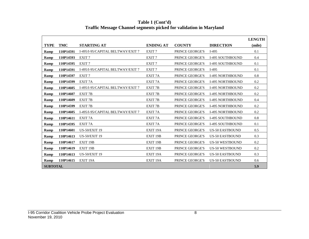|                 |           |                                   |                      |                        |                         | <b>LENGTH</b> |
|-----------------|-----------|-----------------------------------|----------------------|------------------------|-------------------------|---------------|
| TYPE            | TMC       | <b>STARTING AT</b>                | <b>ENDING AT</b>     | <b>COUNTY</b>          | <b>DIRECTION</b>        | (mile)        |
| Ramp            | 110P14591 | I-495/I-95/CAPITAL BELTWAY/EXIT 7 | EXIT <sub>7</sub>    | PRINCE GEORGE'S        | $I-495$                 | 0.1           |
| Ramp            | 110P14593 | EXIT <sub>7</sub>                 | EXIT <sub>7</sub>    | PRINCE GEORGE'S        | I-495 SOUTHBOUND        | 0.4           |
| Ramp            | 110P14595 | EXIT <sub>7</sub>                 | EXIT <sub>7</sub>    | PRINCE GEORGE'S        | <b>I-495 SOUTHBOUND</b> | 0.1           |
| Ramp            | 110P14591 | I-495/I-95/CAPITAL BELTWAY/EXIT 7 | EXIT <sub>7</sub>    | PRINCE GEORGE'S        | $I-495$                 | 0.1           |
| Ramp            | 110P14597 | EXIT <sub>7</sub>                 | EXIT <sub>7</sub> A  | <b>PRINCE GEORGE'S</b> | <b>I-495 NORTHBOUND</b> | 0.8           |
| Ramp            | 110P14599 | EXIT <sub>7A</sub>                | EXIT <sub>7</sub> A  | PRINCE GEORGE'S        | <b>I-495 NORTHBOUND</b> | 0.2           |
| Ramp            | 110P14605 | I-495/I-95/CAPITAL BELTWAY/EXIT 7 | EXIT <sub>7B</sub>   | <b>PRINCE GEORGE'S</b> | <b>I-495 NORTHBOUND</b> | 0.2           |
| Ramp            | 110P14607 | EXIT <sub>7B</sub>                | EXIT <sub>7B</sub>   | PRINCE GEORGE'S        | <b>I-495 NORTHBOUND</b> | 0.2           |
| Ramp            | 110P14609 | EXIT <sub>7B</sub>                | <b>EXIT 7B</b>       | PRINCE GEORGE'S        | <b>I-495 NORTHBOUND</b> | 0.4           |
| Ramp            | 110P14599 | EXIT <sub>7B</sub>                | EXIT <sub>7B</sub>   | <b>PRINCE GEORGE'S</b> | <b>I-495 NORTHBOUND</b> | 0.2           |
| Ramp            | 110P14605 | I-495/I-95/CAPITAL BELTWAY/EXIT 7 | EXIT <sub>7</sub> A  | PRINCE GEORGE'S        | <b>I-495 NORTHBOUND</b> | 0.2           |
| Ramp            | 110P14611 | EXIT <sub>7</sub> A               | EXIT <sub>7</sub> A  | PRINCE GEORGE'S        | <b>I-495 SOUTHBOUND</b> | 0.8           |
| Ramp            | 110P14595 | EXIT <sub>7</sub> A               | EXIT <sub>7</sub> A  | PRINCE GEORGE'S        | <b>I-495 SOUTHBOUND</b> | 0.1           |
| Ramp            | 110P14601 | <b>US-50/EXIT 19</b>              | EXIT <sub>19A</sub>  | PRINCE GEORGE'S        | <b>US-50 EASTBOUND</b>  | 0.5           |
| Ramp            | 110P14613 | <b>US-50/EXIT 19</b>              | EXIT <sub>19B</sub>  | PRINCE GEORGE'S        | <b>US-50 EASTBOUND</b>  | 0.3           |
| Ramp            | 110P14617 | EXIT 19B                          | EXIT 19B             | PRINCE GEORGE'S        | <b>US-50 WESTBOUND</b>  | 0.2           |
| Ramp            | 110P14619 | EXIT <sub>19B</sub>               | EXIT <sub>19B</sub>  | <b>PRINCE GEORGE'S</b> | <b>US-50 WESTBOUND</b>  | 0.2           |
| Ramp            | 110P14613 | <b>US-50/EXIT 19</b>              | EXIT 19A             | PRINCE GEORGE'S        | <b>US-50 EASTBOUND</b>  | 0.3           |
| Ramp            | 110P14615 | EXIT <sub>19</sub> A              | EXIT <sub>19</sub> A | PRINCE GEORGE'S        | <b>US-50 EASTBOUND</b>  | 0.6           |
| <b>SUBTOTAL</b> |           |                                   |                      |                        |                         | 5.9           |

**Table 1 (Cont'd) Traffic Message Channel segments picked for validation in Maryland**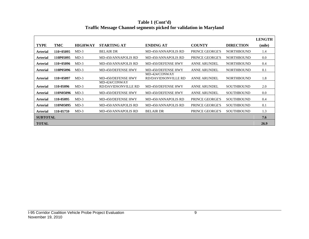|                 |             |                |                                      |                                      |                        |                   | <b>LENGTH</b> |
|-----------------|-------------|----------------|--------------------------------------|--------------------------------------|------------------------|-------------------|---------------|
| <b>TYPE</b>     | TMC         | <b>HIGHWAY</b> | <b>STARTING AT</b>                   | <b>ENDING AT</b>                     | <b>COUNTY</b>          | <b>DIRECTION</b>  | (mile)        |
| <b>Arterial</b> | $110+05095$ | $MD-3$         | <b>BELAIR DR</b>                     | MD-450/ANNAPOLIS RD                  | <b>PRINCE GEORGE'S</b> | <b>NORTHBOUND</b> | 1.4           |
| <b>Arterial</b> | 110P05095   | $MD-3$         | MD-450/ANNAPOLIS RD                  | MD-450/ANNAPOLIS RD                  | <b>PRINCE GEORGE'S</b> | <b>NORTHBOUND</b> | 0.0           |
| <b>Arterial</b> | $110+05096$ | $MD-3$         | MD-450/ANNAPOLIS RD                  | MD-450/DEFENSE HWY                   | <b>ANNE ARUNDEL</b>    | <b>NORTHBOUND</b> | 0.4           |
| <b>Arterial</b> | 110P05096   | $MD-3$         | MD-450/DEFENSE HWY                   | MD-450/DEFENSE HWY                   | <b>ANNE ARUNDEL</b>    | <b>NORTHBOUND</b> | 0.1           |
| <b>Arterial</b> | $110+05097$ | $MD-3$         | MD-450/DEFENSE HWY                   | MD-424/CONWAY<br>RD/DAVIDSONVILLE RD | <b>ANNE ARUNDEL</b>    | <b>NORTHBOUND</b> | 1.8           |
| <b>Arterial</b> | 110-05096   | $MD-3$         | MD-424/CONWAY<br>RD/DAVIDSONVILLE RD | MD-450/DEFENSE HWY                   | <b>ANNE ARUNDEL</b>    | <b>SOUTHBOUND</b> | 2.0           |
| <b>Arterial</b> | 110N05096   | $MD-3$         | MD-450/DEFENSE HWY                   | MD-450/DEFENSE HWY                   | <b>ANNE ARUNDEL</b>    | <b>SOUTHBOUND</b> | 0.0           |
| <b>Arterial</b> | 110-05095   | $MD-3$         | MD-450/DEFENSE HWY                   | MD-450/ANNAPOLIS RD                  | <b>PRINCE GEORGE'S</b> | <b>SOUTHBOUND</b> | 0.4           |
| <b>Arterial</b> | 110N05095   | $MD-3$         | MD-450/ANNAPOLIS RD                  | MD-450/ANNAPOLIS RD                  | <b>PRINCE GEORGE'S</b> | <b>SOUTHBOUND</b> | 0.1           |
| <b>Arterial</b> | 110-05759   | $MD-3$         | <b>MD-450/ANNAPOLIS RD</b>           | <b>BELAIR DR</b>                     | <b>PRINCE GEORGE'S</b> | <b>SOUTHBOUND</b> | 1.3           |
| <b>SUBTOTAL</b> |             |                |                                      |                                      |                        |                   | 7.6           |
| <b>TOTAL</b>    |             |                |                                      |                                      |                        |                   | 26.9          |

**Table 1 (Cont'd) Traffic Message Channel segments picked for validation in Maryland**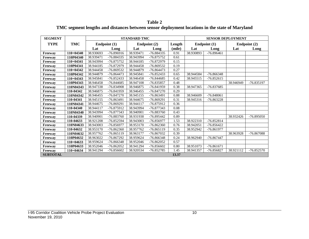**Table 2 TMC segment lengths and distances between sensor deployment locations in the state of Maryland**

| <b>SEGMENT</b>  |             |           |              | <b>STANDARD TMC</b> |              |        |           |              | <b>SENSOR DEPLOYMENT</b> |              |
|-----------------|-------------|-----------|--------------|---------------------|--------------|--------|-----------|--------------|--------------------------|--------------|
| <b>TYPE</b>     | TMC         |           | Endpoint (1) |                     | Endpoint (2) | Length |           | Endpoint (1) |                          | Endpoint (2) |
|                 |             | Lat       | Long         | Lat                 | Long         | (mile) | Lat       | Long         | Lat                      | Long         |
| Freeway         | $110+04340$ | 38.930693 | -76.896916   | 38.939471           | -76.884335   | 0.91   | 38.930893 | $-76.896461$ |                          |              |
| Freeway         | 110P04340   | 38.939471 | -76.884335   | 38.943994           | -76.875752   | 0.61   |           |              |                          |              |
| Freeway         | $110+04341$ | 38.943994 | $-76.875752$ | 38.944185           | -76.872979   | 0.15   |           |              |                          |              |
| Freeway         | 110P04341   | 38.944185 | -76.872979   | 38.944458           | -76.869532   | 0.19   |           |              |                          |              |
| Freeway         | $110+04342$ | 38.944458 | -76.869532   | 38.944879           | $-76.864473$ | 0.27   |           |              |                          |              |
| Freeway         | 110P04342   | 38.944879 | $-76.864473$ | 38.945841           | -76.852433   | 0.65   | 38.944584 | $-76.866348$ |                          |              |
| Freeway         | 110+04343   | 38.945841 | $-76.852433$ | 38.946458           | $-76.844685$ | 0.42   | 38.945515 | $-76.852615$ |                          |              |
| Freeway         | 110P04343   | 38.946458 | $-76.844685$ | 38.947108           | -76.835857   | 0.48   |           |              | 38.946949                | $-76.835197$ |
| Freeway         | 110N04343   | 38.947338 | $-76.834908$ | 38.946875           | -76.841959   | 0.38   | 38.947365 | $-76.837685$ |                          |              |
| Freeway         | 110-04342   | 38.946875 | -76.841959   | 38.946455           | $-76.847270$ | 0.29   |           |              |                          |              |
| Freeway         | 110N04342   | 38.946455 | $-76.847270$ | 38.945155           | -76.863491   | 0.88   | 38.946609 | $-76.848061$ |                          |              |
| Freeway         | 110-04341   | 38.945155 | -76.863491   | 38.944675           | -76.869291   | 0.31   | 38.945316 | $-76.863228$ |                          |              |
| Freeway         | 110N04341   | 38.944675 | $-76.869291$ | 38.944117           | -76.875912   | 0.36   |           |              |                          |              |
| Freeway         | 110-04340   | 38.944117 | -76.875912   | 38.943994           | -76.877343   | 0.08   |           |              |                          |              |
| Freeway         | 110N04340   | 38.943994 | -76.877343   | 38.940901           | -76.883760   | 0.43   |           |              |                          |              |
| Freeway         | 110-04339   | 38.940901 | -76.883760   | 38.931938           | -76.895442   | 0.89   |           |              | 38.932426                | $-76.895050$ |
| Freeway         | 110-04633   | 38.921208 | -76.852594   | 38.943003           | -76.856977   | 1.53   | 38.922310 | $-76.852814$ |                          |              |
| Freeway         | 110N04633   | 38.943003 | -76.856977   | 38.953170           | $-76.862360$ | 0.76   | 38.942051 | $-76.856422$ |                          |              |
| Freeway         | 110-04632   | 38.953170 | $-76.862360$ | 38.957762           | $-76.865119$ | 0.35   | 38.952942 | -76.861977   |                          |              |
| Freeway         | 110N04632   | 38.957762 | $-76.865119$ | 38.963177           | -76.867032   | 0.39   |           |              | 38.963928                | -76.867088   |
| Freeway         | 110P04632   | 38.963022 | $-76.867292$ | 38.959624           | $-76.866348$ | 0.24   | 38.962940 | $-76.867447$ |                          |              |
| Freeway         | $110+04633$ | 38.959624 | -76.866348   | 38.952046           | $-76.862052$ | 0.57   |           |              |                          |              |
| Freeway         | 110P04633   | 38.952046 | $-76.862052$ | 38.941294           | $-76.856602$ | 0.80   | 38.951073 | $-76.861671$ |                          |              |
| Freeway         | $110+04634$ | 38.941294 | $-76.856602$ | 38.920534           | -76.852785   | 1.45   | 38.941357 | -76.856827   | 38.921112                | $-76.852570$ |
| <b>SUBTOTAL</b> |             |           |              |                     |              | 13.37  |           |              |                          |              |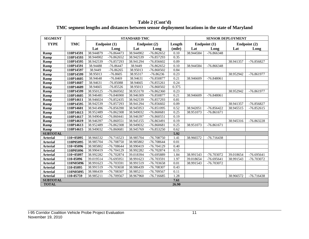| Table 2 (Cont'd)                                                                               |
|------------------------------------------------------------------------------------------------|
| TMC segment lengths and distances between sensor deployment locations in the state of Maryland |

| <b>SEGMENT</b>  |            |           |              | <b>STANDARD TMC</b> |              |        |           | <b>SENSOR DEPLOYMENT</b> |           |              |
|-----------------|------------|-----------|--------------|---------------------|--------------|--------|-----------|--------------------------|-----------|--------------|
| <b>TYPE</b>     | <b>TMC</b> |           | Endpoint (1) |                     | Endpoint (2) | Length |           | Endpoint (1)             |           | Endpoint (2) |
|                 |            | Lat       | Long         | Lat                 | Long         | (mile) | Lat       | Long                     | Lat       | Long         |
| Ramp            | 110P14591  | 38.944879 | $-76.864473$ | 38.944902           | $-76.862652$ | 0.10   | 38.944584 | -76.866348               |           |              |
| Ramp            | 110P14593  | 38.944902 | $-76.862652$ | 38.942539           | $-76.857293$ | 0.35   |           |                          |           |              |
| Ramp            | 110P14595  | 38.942539 | -76.857293   | 38.941294           | $-76.856602$ | 0.09   |           |                          | 38.941357 | $-76.856827$ |
| Ramp            | 110P14591  | 38.94488  | $-76.86447$  | 38.9449             | $-76.862652$ | 0.10   | 38.944584 | -76.866348               |           |              |
| Ramp            | 110P14597  | 38.9449   | $-76.86265$  | 38.95013            | $-76.860502$ | 0.84   |           |                          |           |              |
| Ramp            | 110P14599  | 38.95013  | $-76.8605$   | 38.95317            | $-76.86236$  | 0.23   |           |                          | 38.952942 | -76.861977   |
| Ramp            | 110P14605  | 38.94648  | $-76.8469$   | 38.94631            | -76.850877   | 0.21   | 38.946609 | $-76.848061$             |           |              |
| Ramp            | 110P14607  | 38.94631  | $-76.85088$  | 38.94665            | $-76.855261$ | 0.24   |           |                          |           |              |
| Ramp            | 110P14609  | 38.94665  | $-76.85526$  | 38.95013            | -76.860502   | 0.375  |           |                          |           |              |
| <b>Ramp</b>     | 110P14599  | 38.950125 | $-76.860502$ | 38.953170           | $-76.862360$ | 0.23   |           |                          | 38.952942 | -76.861977   |
| Ramp            | 110P14605  | 38.946481 | $-76.846900$ | 38.946309           | -76.850877   | 0.21   | 38.946609 | $-76.848061$             |           |              |
| Ramp            | 110P14611  | 38.946024 | $-76.852435$ | 38.942539           | -76.857293   | 0.81   |           |                          |           |              |
| Ramp            | 110P14595  | 38.942539 | -76.857293   | 38.941294           | $-76.856602$ | 0.09   |           |                          | 38.941357 | -76.856827   |
| Ramp            | 110P14601  | 38.941496 | -76.856390   | 38.945953           | $-76.851095$ | 0.52   | 38.942051 | $-76.856422$             | 38.945515 | $-76.852615$ |
| Ramp            | 110P14613  | 38.952489 | -76.862308   | 38.949032           | $-76.860681$ | 0.25   | 38.951073 | $-76.861671$             |           |              |
| Ramp            | 110P14617  | 38.949042 | $-76.860441$ | 38.946397           | $-76.860551$ | 0.19   |           |                          |           |              |
| Ramp            | 110P14619  | 38.946397 | $-76.860551$ | 38.945155           | $-76.863491$ | 0.19   |           |                          | 38.945316 | $-76.863228$ |
| Ramp            | 110P14613  | 38.952489 | $-76.862308$ | 38.949032           | $-76.860681$ | 0.25   | 38.951073 | $-76.861671$             |           |              |
| Ramp            | 110P14615  | 38.949032 | $-76.860681$ | 38.945769           | $-76.853250$ | 0.62   |           |                          |           |              |
| <b>SUBTOTAL</b> |            |           |              |                     |              | 5.92   |           |                          |           |              |
| <b>Arterial</b> | 110+05095  | 38.966532 | $-76.716523$ | 38.985704           | -76.708750   | 1.41   | 38.966572 | $-76.716438$             |           |              |
| <b>Arterial</b> | 110P05095  | 38.985704 | -76.708750   | 38.985802           | -76.708644   | 0.01   |           |                          |           |              |
| <b>Arterial</b> | 110+05096  | 38.985802 | -76.708644   | 38.990419           | $-76.704129$ | 0.40   |           |                          |           |              |
| <b>Arterial</b> | 110P05096  | 38.990419 | -76.704129   | 38.992282           | $-76.702874$ | 0.15   |           |                          |           |              |
| <b>Arterial</b> | 110+05097  | 38.992282 | -76.702874   | 39.018394           | -76.695889   | 1.84   | 38.991543 | -76.703072               | 39.018654 | $-76.695641$ |
| <b>Arterial</b> | 110-05096  | 39.019514 | $-76.695951$ | 38.991623           | -76.703591   | 1.97   | 39.018654 | $-76.695641$             | 38.991543 | -76.703072   |
| <b>Arterial</b> | 110N05096  | 38.991623 | -76.703591   | 38.991519           | -76.703658   | 0.01   | 38.991543 | -76.703072               |           |              |
| <b>Arterial</b> | 110-05095  | 38.991519 | -76.703658   | 38.986439           | -76.708307   | 0.43   |           |                          |           |              |
| <b>Arterial</b> | 110N05095  | 38.986439 | -76.708307   | 38.985211           | -76.709567   | 0.11   |           |                          |           |              |
| <b>Arterial</b> | 110-05759  | 38.985211 | -76.709567   | 38.967960           | -76.716685   | 1.28   |           |                          | 38.966572 | $-76.716438$ |
| <b>SUBTOTAL</b> |            |           |              |                     |              | 7.61   |           |                          |           |              |
| <b>TOTAL</b>    |            |           |              |                     |              | 26.90  |           |                          |           |              |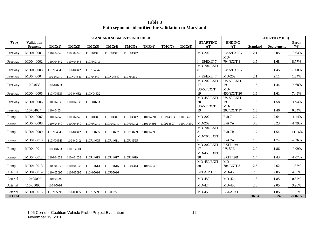**Table 3 Path segments identified for validation in Maryland**

|                          |                                     |             |             |             | STANDARD SEGMENTS INCLUDED |             |           |           |           |                       |                             |                 | <b>LENGTH (MILE)</b> |                     |
|--------------------------|-------------------------------------|-------------|-------------|-------------|----------------------------|-------------|-----------|-----------|-----------|-----------------------|-----------------------------|-----------------|----------------------|---------------------|
| <b>Type</b>              | <b>Validation</b><br><b>Segment</b> | TMC(1)      | TMC(2)      | TMC(3)      | TMC(4)                     | TMC(5)      | TMC(6)    | TMC(7)    | TMC(8)    | <b>STARTING</b><br>AT | <b>ENDING</b><br>AT         | <b>Standard</b> | Deployment           | <b>Error</b><br>(%) |
| Freeway                  | MD04-0001                           | 110+04340   | 110P04340   | $110+04341$ | 110P04341                  | $110+04342$ |           |           |           | MD-202                | I-495/EXIT 7                | 2.1             | 2.05                 | $-3.64%$            |
| Freeway                  | MD04-0002                           | 110P04342   | 110+04343   | 110P04343   |                            |             |           |           |           | I-495/EXIT 7          | $MD-$<br>704/EXIT 8         | 1.5             | 1.68                 | 8.77%               |
| Freeway                  | MD04-0003                           | 110N04343   | 110-04342   | 110N04342   |                            |             |           |           |           | MD-704/EXIT<br>8      | I-495/EXIT 7                | 1.5             | 1.45                 | $-6.00\%$           |
| Freeway                  | MD04-0004                           | 110-04341   | 110N04341   | 110-04340   | 110N04340                  | 110-04339   |           |           |           | I-495/EXIT 7          | MD-202                      | 2.1             | 2.11                 | 1.84%               |
| Freeway                  | 110-04633                           | 110-04633   |             |             |                            |             |           |           |           | MD-202/EXIT<br>17     | US-50/EXIT<br>19            | 1.5             | 1.44                 | $-5.68%$            |
| Freeway                  | MD04-0005                           | 110N04633   | 110-04632   | 110N04632   |                            |             |           |           |           | US-50/EXIT<br>19      | $MD-$<br>450/EXIT 20        | 1.5             | 1.61                 | 7.45%               |
| Freeway                  | MD04-0006                           | 110P04632   | $110+04633$ | 110P04633   |                            |             |           |           |           | MD-450/EXIT<br>20     | US-50/EXIT<br>19            | 1.6             | 1.58                 | $-1.94%$            |
| Freeway                  | $110+04634$                         | $110+04634$ |             |             |                            |             |           |           |           | US-50/EXIT<br>19      | $MD-$<br>202/EXIT 17        | 1.5             | 1.46                 | 0.64%               |
| Ramp                     | MD04-0007                           | 110+04340   | 110P04340   | 110+04341   | 110P04341                  | 110+04342   | 110P14591 | 110P14593 | 110P14595 | MD-202                | Exit 7                      | 2.7             | 2.64                 | $-1.14%$            |
| Ramp                     | MD04-0008                           | 110+04340   | 110P04340   | 110+04341   | 110P04341                  | 110+04342   | 110P14591 | 110P14597 | 110P14599 | $MD-202$              | Exit 7A                     | 3.3             | 3.23                 | $-1.99%$            |
| Ramp                     | MD04-0009                           | 110N04343   | 110-04342   | 110P14605   | 110P14607                  | 110P14609   | 110P14599 |           |           | MD-704/EXIT<br>8      | Exit 7B                     | 1.7             | 1.54                 | $-11.16%$           |
| Ramp                     | MD04-0010                           | 110N04343   | 110-04342   | 110P14605   | 110P14611                  | 110P14595   |           |           |           | MD-704/EXIT<br>8      | Exit 7A                     | 1.8             | 1.74                 | $-2.36%$            |
| Ramp                     | MD04-0011                           | 110-04633   | 110P14601   |             |                            |             |           |           |           | MD-202/EXIT<br>17     | EXIT 19A -<br><b>US-50E</b> | 2.0             | 1.86                 | $-9.09%$            |
| Ramp                     | MD04-0012                           | 110P04632   | $110+04633$ | 110P14613   | 110P14617                  | 110P14619   |           |           |           | MD-450/EXIT<br>20     | EXIT 19B                    | 1.4             | 1.43                 | $-1.07%$            |
| Ramp                     | MD04-0013                           | 110P04632   | 110+04633   | 110P14613   | 110P14615                  | 110+04343   | 110P04343 |           |           | MD-450/EXIT<br>20     | $MD-$<br>704/EXIT 8         | 2.6             | 2.62                 | 1.38%               |
| Arterial                 | MD04-0014                           | $110+05095$ | 110P05095   | 110+05096   | 110P05096                  |             |           |           |           | <b>BELAIR DR</b>      | MD-450                      | 2.0             | 2.05                 | 4.58%               |
| Arterial                 | 110+05097                           | 110+05097   |             |             |                            |             |           |           |           | MD-450                | MD-424                      | 1.8             | 1.85                 | 0.32%               |
| Arterial                 | 110-05096                           | 110-05096   |             |             |                            |             |           |           |           | MD-424                | MD-450                      | 2.0             | 2.05                 | 3.90%               |
| Arterial<br><b>TOTAL</b> | MD04-0015                           | 110N05096   | 110-05095   | 110N05095   | 110-05759                  |             |           |           |           | MD-450                | <b>BELAIR DR</b>            | 1.8<br>36.54    | 1.85<br>36.24        | 1.08%<br>$-0.82%$   |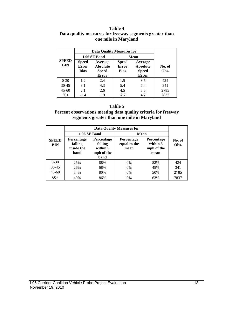#### **Table 4 Data quality measures for freeway segments greater than one mile in Maryland**

|                            |                                                                                                           | 1.96 SE Band | <b>Mean</b>                                 |                                                            |                |
|----------------------------|-----------------------------------------------------------------------------------------------------------|--------------|---------------------------------------------|------------------------------------------------------------|----------------|
| <b>SPEED</b><br><b>BIN</b> | <b>Speed</b><br>Average<br><b>Error</b><br><b>Absolute</b><br><b>Bias</b><br><b>Speed</b><br><b>Error</b> |              | <b>Speed</b><br><b>Error</b><br><b>Bias</b> | Average<br><b>Absolute</b><br><b>Speed</b><br><b>Error</b> | No. of<br>Obs. |
| $0 - 30$                   | 1.2.                                                                                                      | 2.4          | 1.5                                         | 3.5                                                        | 424            |
| $30 - 45$                  | 3.1                                                                                                       | 4.3          | 5.4                                         | 7.4                                                        | 341            |
| $45 - 60$                  | 2.1                                                                                                       | 2.6          | 4.5                                         | 5.5                                                        | 2785           |
| $60+$                      | $-1.4$                                                                                                    | 1.9          | $-2.7$                                      | 4.7                                                        | 7837           |

#### **Table 5**

#### **Percent observations meeting data quality criteria for freeway segments greater than one mile in Maryland**

|                            |                                                    |                                                         | <b>Data Quality Measures for</b> |                                              |                |
|----------------------------|----------------------------------------------------|---------------------------------------------------------|----------------------------------|----------------------------------------------|----------------|
|                            |                                                    | 1.96 SE Band                                            | Mean                             |                                              |                |
| <b>SPEED</b><br><b>BIN</b> | <b>Percentage</b><br>falling<br>inside the<br>band | Percentage<br>falling<br>within 5<br>mph of the<br>band |                                  | Percentage<br>within 5<br>mph of the<br>mean | No. of<br>Obs. |
| $0 - 30$                   | 25%                                                | 88%                                                     | 0%                               | 82%                                          | 424            |
| $30 - 45$                  | 26%                                                | 68%                                                     | $0\%$                            | 48%                                          | 341            |
| $45 - 60$                  | 34%                                                | 80%                                                     | $0\%$                            | 50%                                          | 2785           |
| $60+$                      | 49%                                                | 86%                                                     | 0%                               | 63%                                          | 7837           |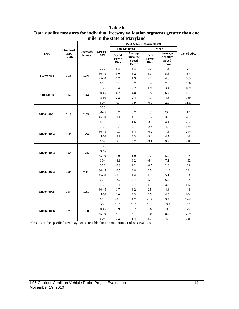|                  |                 |                              |                            |                                             | <b>Data Quality Measures for</b>                    |                                             |                                                     |             |
|------------------|-----------------|------------------------------|----------------------------|---------------------------------------------|-----------------------------------------------------|---------------------------------------------|-----------------------------------------------------|-------------|
|                  | <b>Standard</b> |                              |                            |                                             | 1.96 SE Band                                        |                                             | Mean                                                |             |
| TMC              | TMC<br>length   | <b>Bluetooth</b><br>distance | <b>SPEED</b><br><b>BIN</b> | <b>Speed</b><br><b>Error</b><br><b>Bias</b> | Average<br><b>Absolute</b><br><b>Speed</b><br>Error | <b>Speed</b><br><b>Error</b><br><b>Bias</b> | Average<br>Absolute<br><b>Speed</b><br><b>Error</b> | No. of Obs. |
|                  |                 |                              | $0 - 30$                   | 5.8                                         | 5.8                                                 | 7.3                                         | 7.3                                                 | $2*$        |
|                  | 1.35            | 1.46                         | 30-45                      | 3.0                                         | 3.2                                                 | 5.3                                         | 5.8                                                 | 37          |
| $110+04634$      |                 |                              | $45 - 60$                  | 1.7                                         | 1.9                                                 | 4.2                                         | 4.8                                                 | 663         |
|                  |                 |                              | $60+$                      | 0.1                                         | 0.7                                                 | 0.4                                         | 2.8                                                 | 636         |
|                  |                 |                              | $0 - 30$                   | 1.4                                         | 2.2                                                 | 1.9                                         | 3.4                                                 | 189         |
| 110-04633        | 1.52            | 1.44                         | 30-45                      | 4.2                                         | 4.8                                                 | 5.5                                         | 6.7                                                 | 157         |
|                  |                 |                              | $45 - 60$                  | 2.2                                         | 2.4                                                 | 4.1                                         | 4.6                                                 | 789         |
|                  |                 |                              | $60+$                      | $-0.4$                                      | 0.9                                                 | $-0.9$                                      | 2.9                                                 | 1137        |
|                  |                 |                              | $0 - 30$                   |                                             |                                                     |                                             |                                                     |             |
| MD04-0001        | 2.13            | 2.05                         | 30-45                      | 3.7                                         | 3.7                                                 | 29.6                                        | 29.6                                                | $1*$        |
|                  |                 |                              | $45 - 60$                  | $-0.1$                                      | 1.1                                                 | 0.3                                         | 3.2                                                 | 281         |
|                  |                 |                              | $60+$                      | $-1.5$                                      | 1.6                                                 | $-3.6$                                      | 4.4                                                 | 762         |
|                  |                 |                              | $0 - 30$                   | $-1.0$                                      | 2.7                                                 | $-2.5$                                      | 4.4                                                 | $17*$       |
| MD04-0002        | 1.43            | 1.68                         | 30-45                      | $-1.9$                                      | 3.4                                                 | $-0.2$                                      | 7.5                                                 | $24*$       |
|                  |                 |                              | 45-60                      | $-2.1$                                      | 2.3                                                 | $-3.4$                                      | 4.7                                                 | 40          |
|                  |                 |                              | $60+$                      | $-5.2$                                      | 5.2                                                 | $-9.1$                                      | 9.2                                                 | 818         |
|                  |                 |                              | $0 - 30$                   |                                             |                                                     |                                             |                                                     |             |
| MD04-0003        | 1.54            | 1.45                         | 30-45                      |                                             |                                                     |                                             |                                                     |             |
|                  |                 |                              | 45-60                      | 1.0                                         | 1.0                                                 | 5.2                                         | 5.2                                                 | $6*$        |
|                  |                 |                              | $60+$                      | $-3.1$                                      | 3.2                                                 | $-6.4$                                      | 7.1                                                 | 432         |
|                  |                 |                              | $0 - 30$                   | $-0.3$                                      | 1.2                                                 | $-0.5$                                      | 2.6                                                 | 69          |
| <b>MD04-0004</b> | 2.06            | 2.11                         | 30-45                      | $-0.5$                                      | 2.8                                                 | 6.5                                         | 11.6                                                | 28*         |
|                  |                 |                              | 45-60                      | $-0.5$                                      | 1.4                                                 | 1.2                                         | 5.1                                                 | 83          |
|                  |                 |                              | $60+$                      | $-2.7$                                      | 2.7                                                 | $-5.8$                                      | 6.2                                                 | 1070        |
|                  |                 |                              | $0 - 30$                   | 1.4                                         | 2.7                                                 | 1.7                                         | 3.4                                                 | 142         |
|                  | 1.54            | 1.61                         | 30-45                      | 1.7                                         | 3.2                                                 | 2.5                                         | 4.8                                                 | 48          |
| MD04-0005        |                 |                              | 45-60                      | 1.0                                         | 2.3                                                 | $2.5\,$                                     | 4.6                                                 | 164         |
|                  |                 |                              | $60+$                      | $-0.8$                                      | 1.2                                                 | $-1.7$                                      | 3.4                                                 | 2267        |
|                  |                 |                              | $0 - 30$                   | 13.1                                        | 13.1                                                | 18.0                                        | 18.0                                                | $5*$        |
| <b>MD04-0006</b> | 1.73            | 1.58                         | 30-45                      | 5.9                                         | 6.2                                                 | 9.8                                         | 10.6                                                | 46          |
|                  |                 |                              | $45 - 60$                  | 4.1                                         | 4.1                                                 | 8.0                                         | 8.2                                                 | 759         |
|                  |                 |                              | $60+$                      | 1.2                                         | 1.4                                                 | 3.7                                         | 4.4                                                 | 715         |

**Table 6 Data quality measures for individual freeway validation segments greater than one mile in the state of Maryland**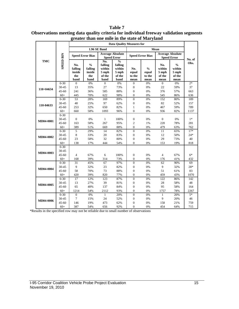|            |                  | gi tatti                                |                                                   | than one more in the state of <i>wial</i> yianu       |                                                               |                                |                                          |                                               |                                                    |        |
|------------|------------------|-----------------------------------------|---------------------------------------------------|-------------------------------------------------------|---------------------------------------------------------------|--------------------------------|------------------------------------------|-----------------------------------------------|----------------------------------------------------|--------|
|            |                  |                                         |                                                   |                                                       | <b>Data Quality Measures for</b>                              |                                |                                          |                                               |                                                    |        |
|            |                  |                                         |                                                   | 1.96 SE Band                                          |                                                               |                                |                                          |                                               |                                                    |        |
| <b>TMC</b> |                  | <b>Speed Error Bias</b>                 |                                                   | <b>Average Absolute</b><br><b>Speed Error</b>         |                                                               | <b>Speed Error Bias</b>        |                                          | <b>Average Absolute</b><br><b>Speed Error</b> |                                                    | No. of |
|            | <b>SPEED BIN</b> | No.<br>falling<br>inside<br>the<br>band | $\frac{0}{0}$<br>falling<br>inside<br>the<br>band | No.<br>falling<br>within<br>$5$ mph<br>of the<br>band | $\frac{0}{0}$<br>falling<br>within<br>5 mph<br>of the<br>band | No.<br>equal<br>to the<br>mean | $\frac{0}{0}$<br>equal<br>to the<br>mean | No.<br>within<br>$5$ mph<br>of the<br>mean    | $\frac{0}{0}$<br>within<br>5 mph<br>of the<br>mean | Obs.   |
|            | $0 - 30$         | $\overline{0}$                          | $0\%$                                             | $\overline{0}$                                        | 0%                                                            | $\boldsymbol{0}$               | 0%                                       | $\overline{0}$                                | 0%                                                 | $2*$   |
| 110+04634  | 30-45            | 13                                      | 35%                                               | 27                                                    | 73%                                                           | $\boldsymbol{0}$               | 0%                                       | 22                                            | 59%                                                | 37     |
|            | $45 - 60$        | 241                                     | 36%                                               | 585                                                   | 88%                                                           | $\boldsymbol{0}$               | 0%                                       | 376                                           | 57%                                                | 663    |
|            | $60+$            | 445                                     | 70%                                               | 622                                                   | 98%                                                           | $\boldsymbol{0}$               | 0%                                       | 545                                           | 86%                                                | 636    |
|            | $0 - 30$         | 53                                      | 28%                                               | 169                                                   | 89%                                                           | $\overline{0}$                 | 0%                                       | 152                                           | 80%                                                | 189    |
| 110-04633  | 30-45            | $40\,$                                  | 25%                                               | 97                                                    | 62%                                                           | $\boldsymbol{0}$               | 0%                                       | 82                                            | 52%                                                | 157    |
|            | 45-60            | 253                                     | 32%                                               | 650                                                   | 82%                                                           | $\mathbf{1}$                   | $0\%$                                    | 467                                           | 59%                                                | 789    |
|            | $60+$            | 660                                     | 58%                                               | 1093                                                  | 96%                                                           | $\overline{0}$                 | 0%                                       | 936                                           | 82%                                                | 1137   |
|            | $0 - 30$         |                                         |                                                   |                                                       |                                                               |                                |                                          |                                               |                                                    |        |
| MD04-0001  | 30-45            | $\boldsymbol{0}$                        | 0%                                                | $\mathbf{1}$                                          | 100%                                                          | $\boldsymbol{0}$               | 0%                                       | $\mathbf{0}$                                  | 0%                                                 | $1*$   |
|            | $45 - 60$        | 163                                     | 58%                                               | 267                                                   | 95%                                                           | $\sqrt{2}$                     | 1%                                       | 220                                           | 78%                                                | 281    |
|            | $60+$            | 389                                     | 51%                                               | 669                                                   | 88%                                                           | $\overline{0}$                 | 0%                                       | 479                                           | 63%                                                | 762    |
|            | $0 - 30$         | $\overline{5}$                          | 29%                                               | 14                                                    | 82%                                                           | $\overline{0}$                 | $0\%$                                    | 11                                            | 65%                                                | $17*$  |
| MD04-0002  | 30-45            | 8                                       | 33%                                               | $20\,$                                                | 83%                                                           | $\boldsymbol{0}$               | 0%                                       | 12                                            | 50%                                                | $24*$  |
|            | 45-60            | 23                                      | 58%                                               | 32                                                    | 80%                                                           | $\boldsymbol{0}$               | $0\%$                                    | 29                                            | 73%                                                | 40     |
|            | $60+$            | 138                                     | 17%                                               | 444                                                   | 54%                                                           | $\overline{0}$                 | 0%                                       | 153                                           | 19%                                                | 818    |
|            | $0 - 30$         |                                         |                                                   |                                                       |                                                               |                                |                                          |                                               |                                                    |        |
| MD04-0003  | 30-45            |                                         |                                                   |                                                       |                                                               |                                |                                          |                                               |                                                    |        |
|            | $45 - 60$        | $\overline{4}$                          | 67%                                               | 6                                                     | 100%                                                          | $\boldsymbol{0}$               | 0%                                       | $\overline{4}$                                | 67%                                                | $6*$   |
|            | $60+$            | 168                                     | 39%                                               | 314                                                   | 73%                                                           | $\boldsymbol{0}$               | 0%                                       | 176                                           | 41%                                                | 432    |
|            | $0 - 30$         | 31                                      | 45%                                               | 67                                                    | 97%                                                           | $\boldsymbol{0}$               | 0%                                       | 62                                            | 90%                                                | 69     |
| MD04-0004  | 30-45            | 9                                       | 32%                                               | 23                                                    | 82%                                                           | $\boldsymbol{0}$               | 0%                                       | 9                                             | 32%                                                | $28*$  |
|            | $45 - 60$        | 58                                      | 70%                                               | 73                                                    | 88%                                                           | $\boldsymbol{0}$               | 0%                                       | 51                                            | 61%                                                | 83     |
|            | $60+$            | 420                                     | 39%                                               | 820                                                   | 77%                                                           | $\overline{0}$                 | 0%                                       | 459                                           | 43%                                                | 1070   |
|            | $0 - 30$         | 17                                      | 12%                                               | 123                                                   | 87%                                                           | $\overline{0}$                 | 0%                                       | 122                                           | 86%                                                | 142    |
| MD04-0005  | 30-45            | 13                                      | 27%                                               | 39                                                    | 81%                                                           | $\boldsymbol{0}$               | 0%                                       | 28                                            | 58%                                                | 48     |
|            | $45 - 60$        | 65                                      | 40%                                               | 137                                                   | 84%                                                           | $\overline{0}$                 | 0%                                       | 95                                            | 58%                                                | 164    |
|            | $60+$            | 1214                                    | 54%                                               | 2112                                                  | 93%                                                           | $\overline{0}$                 | 0%                                       | 1757                                          | 78%                                                | 2267   |
|            | $0 - 30$         | $\overline{0}$                          | 0%                                                | $\mathbf{1}$                                          | 20%                                                           | $\overline{0}$                 | 0%                                       | $\mathbf{1}$                                  | 20%                                                | $5*$   |
| MD04-0006  | 30-45            | $\boldsymbol{7}$                        | 15%                                               | 24                                                    | 52%                                                           | $\boldsymbol{0}$               | 0%                                       | 9                                             | 20%                                                | 46     |
|            | 45-60            | 146                                     | 19%                                               | 473                                                   | 62%                                                           | $\boldsymbol{0}$               | $0\%$                                    | 158                                           | 21%                                                | 759    |
|            | $60+$            | 387                                     | 54%                                               | 656                                                   | 92%                                                           | $\overline{0}$                 | 0%                                       | 454                                           | 64%                                                | 715    |

#### **Table 7 Observations meeting data quality criteria for individual freeway validation segments greater than one mile in the state of Maryland**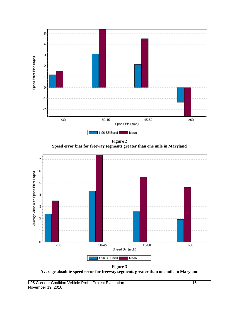

**Figure 3 Average absolute speed error for freeway segments greater than one mile in Maryland**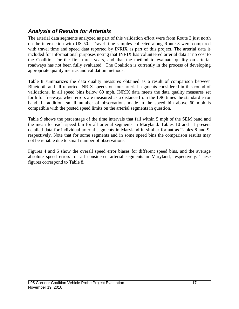### *Analysis of Results for Arterials*

The arterial data segments analyzed as part of this validation effort were from Route 3 just north on the intersection with US 50. Travel time samples collected along Route 3 were compared with travel time and speed data reported by INRIX as part of this project. The arterial data is included for informational purposes noting that INRIX has volunteered arterial data at no cost to the Coalition for the first three years, and that the method to evaluate quality on arterial roadways has not been fully evaluated. The Coalition is currently in the process of developing appropriate quality metrics and validation methods.

Table 8 summarizes the data quality measures obtained as a result of comparison between Bluetooth and all reported INRIX speeds on four arterial segments considered in this round of validations. In all speed bins below 60 mph, INRIX data meets the data quality measures set forth for freeways when errors are measured as a distance from the 1.96 times the standard error band. In addition, small number of observations made in the speed bin above 60 mph is compatible with the posted speed limits on the arterial segments in question.

Table 9 shows the percentage of the time intervals that fall within 5 mph of the SEM band and the mean for each speed bin for all arterial segments in Maryland. Tables 10 and 11 present detailed data for individual arterial segments in Maryland in similar format as Tables 8 and 9, respectively. Note that for some segments and in some speed bins the comparison results may not be reliable due to small number of observations.

Figures 4 and 5 show the overall speed error biases for different speed bins, and the average absolute speed errors for all considered arterial segments in Maryland, respectively. These figures correspond to Table 8.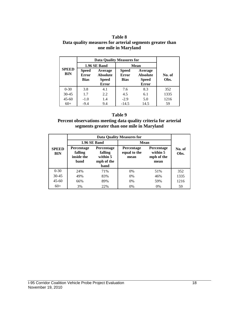#### **Table 8 Data quality measures for arterial segments greater than one mile in Maryland**

|                            |                                                                                                           | 1.96 SE Band | <b>Mean</b>                                 |                                                            |                |  |
|----------------------------|-----------------------------------------------------------------------------------------------------------|--------------|---------------------------------------------|------------------------------------------------------------|----------------|--|
| <b>SPEED</b><br><b>BIN</b> | <b>Speed</b><br>Average<br><b>Error</b><br><b>Absolute</b><br><b>Bias</b><br><b>Speed</b><br><b>Error</b> |              | <b>Speed</b><br><b>Error</b><br><b>Bias</b> | Average<br><b>Absolute</b><br><b>Speed</b><br><b>Error</b> | No. of<br>Obs. |  |
| $0 - 30$                   | 3.8                                                                                                       | 4.1          | 7.6                                         | 8.3                                                        | 352            |  |
| $30 - 45$                  | 1.7                                                                                                       | 2.2          | 4.5                                         | 6.1                                                        | 1335           |  |
| $45 - 60$                  | $-1.0$                                                                                                    | 1.4          | $-2.9$                                      | 5.0                                                        | 1216           |  |
| $60+$                      | $-9.4$                                                                                                    | 9.4          | $-14.5$                                     | 14.5                                                       | 59             |  |

#### **Table 9**

#### **Percent observations meeting data quality criteria for arterial segments greater than one mile in Maryland**

|                            |                                                                                                                      | 1.96 SE Band | Mean                                      |                                                     |                |  |
|----------------------------|----------------------------------------------------------------------------------------------------------------------|--------------|-------------------------------------------|-----------------------------------------------------|----------------|--|
| <b>SPEED</b><br><b>BIN</b> | <b>Percentage</b><br><b>Percentage</b><br>falling<br>falling<br>inside the<br>within 5<br>band<br>mph of the<br>band |              | <b>Percentage</b><br>equal to the<br>mean | <b>Percentage</b><br>within 5<br>mph of the<br>mean | No. of<br>Obs. |  |
| $0-30$                     | 2.4%                                                                                                                 | 71%          | $0\%$                                     | 51%                                                 | 352            |  |
| $30 - 45$                  | 49%                                                                                                                  | 83%          | $0\%$                                     | 46%                                                 | 1335           |  |
| $45 - 60$                  | 89%<br>66%                                                                                                           |              | $0\%$                                     | 59%                                                 | 1216           |  |
| $60+$                      | 3%                                                                                                                   | 22%          | 0%                                        | $0\%$                                               | 59             |  |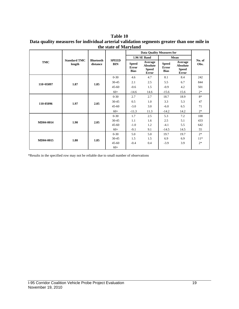#### **Table 10 Data quality measures for individual arterial validation segments greater than one mile in the state of Maryland**

|             |                               |                              |                            | <b>Data Quality Measures for</b>            |                                                            |                                             |                                                            |                |
|-------------|-------------------------------|------------------------------|----------------------------|---------------------------------------------|------------------------------------------------------------|---------------------------------------------|------------------------------------------------------------|----------------|
|             |                               |                              |                            |                                             | 1.96 SE Band                                               | Mean                                        |                                                            |                |
| <b>TMC</b>  | <b>Standard TMC</b><br>length | <b>Bluetooth</b><br>distance | <b>SPEED</b><br><b>BIN</b> | <b>Speed</b><br><b>Error</b><br><b>Bias</b> | Average<br><b>Absolute</b><br><b>Speed</b><br><b>Error</b> | <b>Speed</b><br><b>Error</b><br><b>Bias</b> | Average<br><b>Absolute</b><br><b>Speed</b><br><b>Error</b> | No. of<br>Obs. |
|             |                               |                              | $0 - 30$                   | 4.6                                         | 4.7                                                        | 8.1                                         | 8.4                                                        | 242            |
| $110+05097$ | 1.87                          | 1.85                         | $30 - 45$                  | 2.1                                         | 2.5                                                        | 5.5                                         | 6.7                                                        | 844            |
|             |                               |                              | $45 - 60$                  | $-0.6$                                      | 1.5                                                        | $-0.9$                                      | 4.2                                                        | 501            |
|             |                               |                              | $60+$                      | $-14.6$                                     | 14.6                                                       | $-15.6$                                     | 15.6                                                       | $2*$           |
| 110-05096   | 1.97                          | 2.05                         | $0 - 30$                   | 2.7                                         | 2.7                                                        | 18.7                                        | 18.9                                                       | $8*$           |
|             |                               |                              | $30 - 45$                  | 0.5                                         | 1.0                                                        | 3.3                                         | 5.3                                                        | 47             |
|             |                               |                              | $45 - 60$                  | $-3.0$                                      | 3.0                                                        | $-6.0$                                      | 6.5                                                        | 71             |
|             |                               |                              | $60+$                      | $-11.3$                                     | 11.3                                                       | $-14.2$                                     | 14.2                                                       | $2*$           |
|             |                               |                              | $0 - 30$                   | 1.7                                         | 2.5                                                        | 5.3                                         | 7.2                                                        | 100            |
| MD04-0014   | 1.90                          | 2.05                         | $30 - 45$                  | 1.1                                         | 1.6                                                        | 2.5                                         | 5.1                                                        | 433            |
|             |                               |                              | $45 - 60$                  | $-1.0$                                      | 1.2                                                        | $-4.1$                                      | 5.5                                                        | 642            |
|             |                               |                              | $60+$                      | $-9.1$                                      | 9.1                                                        | $-14.5$                                     | 14.5                                                       | 55             |
| MD04-0015   |                               |                              | $0 - 30$                   | 5.0                                         | 5.0                                                        | 19.7                                        | 19.7                                                       | $2*$           |
|             | 1.80                          | 1.85                         | $30 - 45$                  | 1.5                                         | 1.5                                                        | 6.9                                         | 6.9                                                        | $11*$          |
|             |                               |                              | $45 - 60$                  | $-0.4$                                      | 0.4                                                        | $-3.9$                                      | 3.9                                                        | $2*$           |
|             |                               |                              | $60+$                      |                                             |                                                            |                                             |                                                            |                |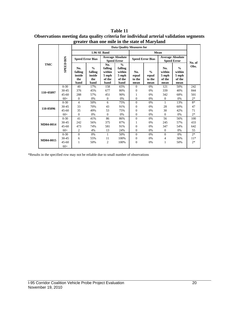|             |                  | <b>Data Quality Measures for</b>        |                                                   |                                                     |                                                               |                                |                                          |                                               |                                                    |        |
|-------------|------------------|-----------------------------------------|---------------------------------------------------|-----------------------------------------------------|---------------------------------------------------------------|--------------------------------|------------------------------------------|-----------------------------------------------|----------------------------------------------------|--------|
| <b>TMC</b>  |                  | <b>1.96 SE Band</b>                     |                                                   |                                                     |                                                               |                                |                                          |                                               |                                                    |        |
|             |                  | <b>Speed Error Bias</b>                 |                                                   | <b>Average Absolute</b><br><b>Speed Error</b>       |                                                               | <b>Speed Error Bias</b>        |                                          | <b>Average Absolute</b><br><b>Speed Error</b> |                                                    | No. of |
|             | <b>SPEED BIN</b> | No.<br>falling<br>inside<br>the<br>band | $\frac{0}{0}$<br>falling<br>inside<br>the<br>band | No.<br>falling<br>within<br>5 mph<br>of the<br>band | $\frac{0}{0}$<br>falling<br>within<br>5 mph<br>of the<br>band | No.<br>equal<br>to the<br>mean | $\frac{0}{0}$<br>equal<br>to the<br>mean | No.<br>within<br>5 mph<br>of the<br>mean      | $\frac{0}{0}$<br>within<br>5 mph<br>of the<br>mean | Obs.   |
|             | $0 - 30$         | 40                                      | 17%                                               | 158                                                 | 65%                                                           | $\Omega$                       | 0%                                       | 121                                           | 50%                                                | 242    |
| $110+05097$ | 30-45            | 376                                     | 45%                                               | 677                                                 | 80%                                                           | $\mathbf{0}$                   | 0%                                       | 339                                           | 40%                                                | 844    |
|             | $45 - 60$        | 288                                     | 57%                                               | 451                                                 | 90%                                                           | 1                              | 0%                                       | 342                                           | 68%                                                | 501    |
|             | $60+$            | $\mathbf{0}$                            | 0%                                                | $\mathbf{0}$                                        | 0%                                                            | $\mathbf{0}$                   | 0%                                       | $\overline{0}$                                | 0%                                                 | $2*$   |
|             | $0 - 30$         | 4                                       | 50%                                               | 6                                                   | 75%                                                           | $\Omega$                       | 0%                                       | 1                                             | 13%                                                | $8*$   |
|             | 30-45            | 33                                      | 70%                                               | 43                                                  | 91%                                                           | $\mathbf{0}$                   | 0%                                       | 28                                            | 60%                                                | 47     |
| 110-05096   | $45 - 60$        | 35                                      | 49%                                               | 53                                                  | 75%                                                           | $\mathbf{0}$                   | 0%                                       | 30                                            | 42%                                                | 71     |
|             | $60+$            | $\mathbf{0}$                            | 0%                                                | $\Omega$                                            | 0%                                                            | $\Omega$                       | 0%                                       | $\Omega$                                      | 0%                                                 | $2*$   |
|             | $0 - 30$         | 41                                      | 41%                                               | 86                                                  | 86%                                                           | $\overline{0}$                 | 0%                                       | 56                                            | 56%                                                | 100    |
|             | 30-45            | 242                                     | 56%                                               | 375                                                 | 87%                                                           | 1                              | 0%                                       | 245                                           | 57%                                                | 433    |
| MD04-0014   | $45 - 60$        | 473                                     | 74%                                               | 581                                                 | 91%                                                           | $\Omega$                       | 0%                                       | 347                                           | 54%                                                | 642    |
|             | $60+$            | $\overline{c}$                          | 4%                                                | 13                                                  | 24%                                                           | $\theta$                       | 0%                                       | $\overline{0}$                                | 0%                                                 | 55     |
|             | $0 - 30$         | $\mathbf{0}$                            | 0%                                                | $\mathbf{1}$                                        | 50%                                                           | $\Omega$                       | 0%                                       | $\overline{0}$                                | 0%                                                 | $2*$   |
|             | 30-45            | 6                                       | 55%                                               | 11                                                  | 100%                                                          | $\mathbf{0}$                   | 0%                                       | 4                                             | 36%                                                | $11*$  |
| MD04-0015   | $45 - 60$        | $\mathbf{1}$                            | 50%                                               | $\overline{c}$                                      | 100%                                                          | $\theta$                       | 0%                                       | 1                                             | 50%                                                | $2*$   |
|             | $60+$            |                                         |                                                   |                                                     |                                                               |                                |                                          |                                               |                                                    |        |

**Table 11 Observations meeting data quality criteria for individual arterial validation segments greater than one mile in the state of Maryland**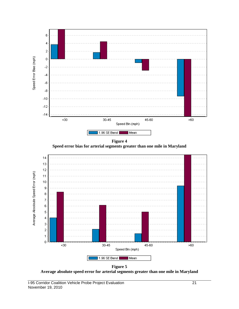

**Figure 4 Speed error bias for arterial segments greater than one mile in Maryland**



**Figure 5 Average absolute speed error for arterial segments greater than one mile in Maryland**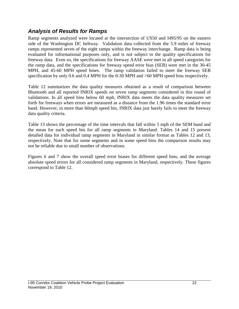### *Analysis of Results for Ramps*

Ramp segments analyzed were located at the intersection of US50 and I495/95 on the eastern side of the Washington DC beltway. Validation data collected from the 5.9 miles of freeway ramps represented seven of the eight ramps within the freeway interchange. Ramp data is being evaluated for informational purposes only, and is not subject to the quality specifications for freeway data. Even so, the specifications for freeway AASE were met in all speed categories for the ramp data, and the specifications for freeway speed error bias (SEB) were met in the 30-45 MPH, and 45-60 MPH speed bines. The ramp validation failed to meet the freeway SEB specification by only 0.6 and 0.4 MPH for the 0-30 MPH and >60 MPH speed bins respectively.

Table 12 summarizes the data quality measures obtained as a result of comparison between Bluetooth and all reported INRIX speeds on seven ramp segments considered in this round of validations. In all speed bins below 60 mph, INRIX data meets the data quality measures set forth for freeways when errors are measured as a distance from the 1.96 times the standard error band. However, in more than 60mph speed bin, INRIX data just barely fails to meet the freeway data quality criteria.

Table 13 shows the percentage of the time intervals that fall within 5 mph of the SEM band and the mean for each speed bin for all ramp segments in Maryland. Tables 14 and 15 present detailed data for individual ramp segments in Maryland in similar format as Tables 12 and 13, respectively. Note that for some segments and in some speed bins the comparison results may not be reliable due to small number of observations.

Figures 6 and 7 show the overall speed error biases for different speed bins, and the average absolute speed errors for all considered ramp segments in Maryland, respectively. These figures correspond to Table 12.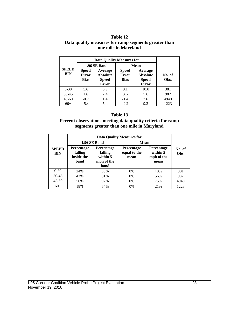#### **Table 12 Data quality measures for ramp segments greater than one mile in Maryland**

|                            |                                                                                                           | 1.96 SE Band | <b>Mean</b>                                 |                                                            |                |  |
|----------------------------|-----------------------------------------------------------------------------------------------------------|--------------|---------------------------------------------|------------------------------------------------------------|----------------|--|
| <b>SPEED</b><br><b>BIN</b> | <b>Speed</b><br>Average<br><b>Error</b><br><b>Absolute</b><br><b>Bias</b><br><b>Speed</b><br><b>Error</b> |              | <b>Speed</b><br><b>Error</b><br><b>Bias</b> | Average<br><b>Absolute</b><br><b>Speed</b><br><b>Error</b> | No. of<br>Obs. |  |
| $0 - 30$                   | 5.6                                                                                                       | 5.9          | 9.1                                         | 10.0                                                       | 381            |  |
| $30 - 45$                  | 1.6                                                                                                       | 2.4          | 3.6                                         | 5.6                                                        | 982            |  |
| $45 - 60$                  | $-0.7$                                                                                                    | 1.4          | $-1.4$                                      | 3.6                                                        | 4940           |  |
| $60+$                      | $-5.4$                                                                                                    | 5.4          | $-9.2$                                      | 9.2                                                        | 1223           |  |

#### **Table 13**

#### **Percent observations meeting data quality criteria for ramp segments greater than one mile in Maryland**

|                                                                                  |            | <b>1.96 SE Band</b>                                            | Mean                                      |     |                |
|----------------------------------------------------------------------------------|------------|----------------------------------------------------------------|-------------------------------------------|-----|----------------|
| <b>Percentage</b><br><b>SPEED</b><br>falling<br><b>BIN</b><br>inside the<br>band |            | <b>Percentage</b><br>falling<br>within 5<br>mph of the<br>band | <b>Percentage</b><br>equal to the<br>mean |     | No. of<br>Obs. |
| $0 - 30$                                                                         | 2.4%       | 60%                                                            | $0\%$                                     | 40% | 381            |
| $30 - 45$                                                                        | 43%        | 81%                                                            | $0\%$                                     | 56% | 982            |
| $45-60$                                                                          | 56%<br>92% |                                                                | $0\%$                                     | 75% | 4940           |
| $60+$                                                                            | 18%        | 54%                                                            | $0\%$                                     | 21% | 1223           |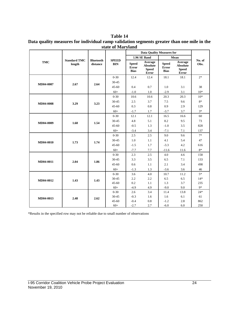| Table 14                                                                                   |
|--------------------------------------------------------------------------------------------|
| Data quality measures for individual ramp validation segments greater than one mile in the |
| state of Maryland                                                                          |

| 1.96 SE Band<br>Mean<br><b>Standard TMC</b><br><b>SPEED</b><br>No. of<br><b>Bluetooth</b><br>Average<br><b>TMC</b><br>Average<br><b>BIN</b><br>length<br><b>Speed</b><br><b>Speed</b><br>Obs.<br>distance<br><b>Absolute</b><br><b>Absolute</b><br><b>Error</b><br><b>Error</b><br><b>Speed</b><br><b>Speed</b><br><b>Bias</b><br><b>Bias</b><br><b>Error</b><br><b>Error</b><br>$0 - 30$<br>12.4<br>12.4<br>18.1<br>18.1<br>$2*$<br>$30 - 45$<br>2.67<br>MD04-0007<br>2.64<br>3.1<br>38<br>$45 - 60$<br>0.4<br>0.7<br>1.0 |  |
|----------------------------------------------------------------------------------------------------------------------------------------------------------------------------------------------------------------------------------------------------------------------------------------------------------------------------------------------------------------------------------------------------------------------------------------------------------------------------------------------------------------------------|--|
|                                                                                                                                                                                                                                                                                                                                                                                                                                                                                                                            |  |
|                                                                                                                                                                                                                                                                                                                                                                                                                                                                                                                            |  |
|                                                                                                                                                                                                                                                                                                                                                                                                                                                                                                                            |  |
|                                                                                                                                                                                                                                                                                                                                                                                                                                                                                                                            |  |
|                                                                                                                                                                                                                                                                                                                                                                                                                                                                                                                            |  |
| $60+$<br>$-1.0$<br>1.0<br>$-2.9$<br>3.1<br>$10*$                                                                                                                                                                                                                                                                                                                                                                                                                                                                           |  |
| $0 - 30$<br>20.3<br>$10*$<br>10.6<br>10.6<br>20.3                                                                                                                                                                                                                                                                                                                                                                                                                                                                          |  |
| $8*$<br>3.7<br>30-45<br>2.5<br>7.5<br>9.6<br>MD04-0008<br>3.29<br>3.23                                                                                                                                                                                                                                                                                                                                                                                                                                                     |  |
| 0.8<br>0.9<br>$45 - 60$<br>0.3<br>2.9<br>129                                                                                                                                                                                                                                                                                                                                                                                                                                                                               |  |
| $3*$<br>$60+$<br>$-1.7$<br>1.7<br>$-3.7$<br>3.7                                                                                                                                                                                                                                                                                                                                                                                                                                                                            |  |
| $0 - 30$<br>12.1<br>12.1<br>16.5<br>16.6<br>60                                                                                                                                                                                                                                                                                                                                                                                                                                                                             |  |
| 4.8<br>8.2<br>73<br>5.1<br>9.5<br>30-45<br>MD04-0009<br>1.68<br>1.54                                                                                                                                                                                                                                                                                                                                                                                                                                                       |  |
| $-0.5$<br>$45 - 60$<br>1.3<br>$-1.0$<br>3.5<br>828                                                                                                                                                                                                                                                                                                                                                                                                                                                                         |  |
| $60+$<br>$-3.4$<br>3.4<br>$-7.1$<br>7.1<br>137                                                                                                                                                                                                                                                                                                                                                                                                                                                                             |  |
| $7*$<br>$0 - 30$<br>2.5<br>2.5<br>9.0<br>9.6                                                                                                                                                                                                                                                                                                                                                                                                                                                                               |  |
| 30-45<br>1.0<br>1.1<br>4.1<br>5.4<br>47<br>MD04-0010<br>1.74<br>1.73                                                                                                                                                                                                                                                                                                                                                                                                                                                       |  |
| $-3.3$<br>4.2<br>$45 - 60$<br>$-1.5$<br>1.7<br>616                                                                                                                                                                                                                                                                                                                                                                                                                                                                         |  |
| $8\ast$<br>$60+$<br>$-7.7$<br>7.7<br>11.6<br>$-11.6$                                                                                                                                                                                                                                                                                                                                                                                                                                                                       |  |
| $0 - 30$<br>2.3<br>2.5<br>4.0<br>4.6<br>158                                                                                                                                                                                                                                                                                                                                                                                                                                                                                |  |
| 3.3<br>6.5<br>30-45<br>3.5<br>7.1<br>133<br>2.04<br>MD04-0011<br>1.86                                                                                                                                                                                                                                                                                                                                                                                                                                                      |  |
| 2.1<br>$45 - 60$<br>0.6<br>1.1<br>3.4<br>498                                                                                                                                                                                                                                                                                                                                                                                                                                                                               |  |
| $60+$<br>$-1.3$<br>$-3.6$<br>3.6<br>46<br>1.3                                                                                                                                                                                                                                                                                                                                                                                                                                                                              |  |
| $5*$<br>$0 - 30$<br>4.0<br>3.6<br>10.7<br>11.2                                                                                                                                                                                                                                                                                                                                                                                                                                                                             |  |
| $14*$<br>30-45<br>2.2<br>2.2<br>6.5<br>6.5<br>MD04-0012<br>1.43<br>1.43                                                                                                                                                                                                                                                                                                                                                                                                                                                    |  |
| 1.3<br>3.7<br>$45 - 60$<br>0.2<br>235<br>1.1                                                                                                                                                                                                                                                                                                                                                                                                                                                                               |  |
| $9*$<br>$60+$<br>$-4.9$<br>$-9.0$<br>4.9<br>9.0                                                                                                                                                                                                                                                                                                                                                                                                                                                                            |  |
| $24*$<br>$0 - 30$<br>2.6<br>3.4<br>11.4<br>13.8                                                                                                                                                                                                                                                                                                                                                                                                                                                                            |  |
| $30 - 45$<br>$-0.3$<br>1.6<br>6.1<br>61<br>1.6<br>MD04-0013<br>2.48<br>2.62<br>$-0.4$<br>0.8<br>2.8<br>862<br>$45 - 60$<br>$-1.2$                                                                                                                                                                                                                                                                                                                                                                                          |  |
| $60+$<br>$-2.7$<br>2.7<br>$-6.0$<br>6.0<br>250                                                                                                                                                                                                                                                                                                                                                                                                                                                                             |  |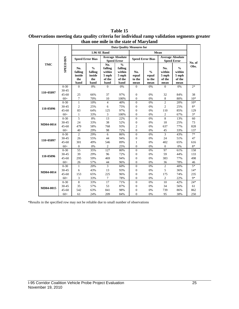|            |                  | <b>Data Ouality Measures for</b>        |                                                   |                                                     |                                                               |                                |                                          |                                               |                                                    |        |
|------------|------------------|-----------------------------------------|---------------------------------------------------|-----------------------------------------------------|---------------------------------------------------------------|--------------------------------|------------------------------------------|-----------------------------------------------|----------------------------------------------------|--------|
|            |                  |                                         |                                                   | 1.96 SE Band                                        |                                                               |                                |                                          |                                               |                                                    |        |
| <b>TMC</b> |                  | <b>Speed Error Bias</b>                 |                                                   | <b>Average Absolute</b><br><b>Speed Error</b>       |                                                               | <b>Speed Error Bias</b>        |                                          | <b>Average Absolute</b><br><b>Speed Error</b> |                                                    | No. of |
|            | <b>SPEED BIN</b> | No.<br>falling<br>inside<br>the<br>band | $\frac{0}{0}$<br>falling<br>inside<br>the<br>band | No.<br>falling<br>within<br>5 mph<br>of the<br>band | $\frac{0}{0}$<br>falling<br>within<br>5 mph<br>of the<br>band | No.<br>equal<br>to the<br>mean | $\frac{0}{0}$<br>equal<br>to the<br>mean | No.<br>within<br>5 mph<br>of the<br>mean      | $\frac{0}{0}$<br>within<br>5 mph<br>of the<br>mean | Obs.   |
|            | $0 - 30$         | $\Omega$                                | 0%                                                | $\Omega$                                            | 0%                                                            | $\Omega$                       | 0%                                       | $\Omega$                                      | 0%                                                 | $2*$   |
| 110+05097  | 30-45            |                                         |                                                   |                                                     |                                                               |                                |                                          |                                               |                                                    |        |
|            | $45 - 60$        | 25                                      | 66%                                               | 37                                                  | 97%                                                           | $\mathbf{0}$                   | 0%                                       | 32                                            | 84%                                                | 38     |
|            | $60+$            | $\tau$                                  | 70%                                               | 10                                                  | 100%                                                          | $\boldsymbol{0}$               | 0%                                       | $\,$ 8 $\,$                                   | 80%                                                | $10*$  |
|            | $0 - 30$         | $\mathbf{1}$                            | 10%                                               | $\overline{4}$                                      | 40%                                                           | $\overline{0}$                 | 0%                                       | $\overline{2}$                                | 20%                                                | $10*$  |
| 110-05096  | 30-45            | $\overline{2}$                          | 25%                                               | 6                                                   | 75%                                                           | $\overline{0}$                 | 0%                                       | $\overline{2}$                                | 25%                                                | $8*$   |
|            | $45 - 60$        | 83                                      | 64%                                               | 125                                                 | 97%                                                           | $\overline{0}$                 | 0%                                       | 110                                           | 85%                                                | 129    |
|            | $60+$            | $\mathbf{1}$                            | 33%                                               | 3                                                   | 100%                                                          | $\mathbf{0}$                   | 0%                                       | $\overline{c}$                                | 67%                                                | $3*$   |
|            | $0 - 30$         | 5                                       | 8%                                                | 13                                                  | 22%                                                           | $\mathbf{0}$                   | 0%                                       | $\overline{8}$                                | 13%                                                | 60     |
| MD04-0014  | 30-45            | 24                                      | 33%                                               | 38                                                  | 52%                                                           | $\boldsymbol{0}$               | 0%                                       | 18                                            | 25%                                                | 73     |
|            | $45 - 60$        | 479                                     | 58%                                               | 768                                                 | 93%                                                           | $\overline{c}$                 | 0%                                       | 637                                           | 77%                                                | 828    |
|            | $60+$            | 40                                      | 29%                                               | 98                                                  | 72%                                                           | $\overline{0}$                 | 0%                                       | 45                                            | 33%                                                | 137    |
|            | $0 - 30$         | $\overline{c}$                          | 29%                                               | 6                                                   | 86%                                                           | $\overline{0}$                 | 0%                                       | 3                                             | 43%                                                | $7*$   |
| 110+05097  | 30-45            | 26                                      | 55%                                               | 44                                                  | 94%                                                           | $\boldsymbol{0}$               | 0%                                       | 24                                            | 51%                                                | 47     |
|            | $45 - 60$        | 301                                     | 49%                                               | 546                                                 | 89%                                                           | 1                              | 0%                                       | 402                                           | 65%                                                | 616    |
|            | $60+$            | $\mathbf{0}$                            | 0%                                                | $\mathfrak{2}$                                      | 25%                                                           | $\boldsymbol{0}$               | 0%                                       | $\boldsymbol{0}$                              | 0%                                                 | $8*$   |
|            | $0 - 30$         | 55                                      | 35%                                               | 127                                                 | 80%                                                           | $\mathbf{0}$                   | 0%                                       | 97                                            | 61%                                                | 158    |
| 110-05096  | 30-45            | 39                                      | 29%                                               | 96                                                  | 72%                                                           | $\boldsymbol{0}$               | 0%                                       | 59                                            | 44%                                                | 133    |
|            | $45 - 60$        | 295                                     | 59%                                               | 469                                                 | 94%                                                           | $\mathbf{0}$                   | 0%                                       | 383                                           | 77%                                                | 498    |
|            | $60+$            | 26                                      | 57%                                               | 44                                                  | 96%                                                           | $\mathbf{0}$                   | 0%                                       | 36                                            | 78%                                                | 46     |
|            | $0 - 30$         | $\mathbf{1}$                            | 20%                                               | 3                                                   | 60%                                                           | $\overline{0}$                 | 0%                                       | $\overline{2}$                                | 40%                                                | $5*$   |
| MD04-0014  | 30-45            | 6                                       | 43%                                               | 13                                                  | 93%                                                           | $\mathbf{0}$                   | 0%                                       | 5                                             | 36%                                                | $14*$  |
|            | $45 - 60$        | 153                                     | 65%                                               | 225                                                 | 96%                                                           | $\overline{0}$                 | 0%                                       | 175                                           | 74%                                                | 235    |
|            | $60+$            | 3                                       | 33%                                               | 7                                                   | 78%                                                           | $\boldsymbol{0}$               | 0%                                       | $\mathbf{2}$                                  | 22%                                                | $9*$   |
|            | $0 - 30$         | $\overline{8}$                          | 33%                                               | 17                                                  | 71%                                                           | $\overline{0}$                 | 0%                                       | 10                                            | 42%                                                | $24*$  |
| MD04-0015  | 30-45            | 35                                      | 57%                                               | 53                                                  | 87%                                                           | $\mathbf{0}$                   | 0%                                       | 34                                            | 56%                                                | 61     |
|            | $45 - 60$        | 542                                     | 63%                                               | 841                                                 | 98%                                                           | $\mathbf{0}$                   | 0%                                       | 739                                           | 86%                                                | 862    |
|            | $60+$            | 61                                      | 24%                                               | 209                                                 | 84%                                                           | $\theta$                       | 0%                                       | 95                                            | 38%                                                | 250    |

**Table 15 Observations meeting data quality criteria for individual ramp validation segments greater than one mile in the state of Maryland**